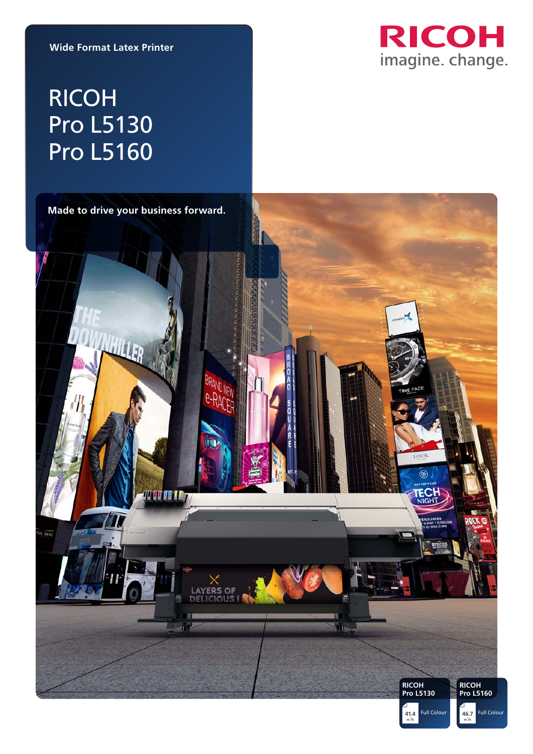**Wide Format Latex Printer**



# RICOH Pro L5130 Pro L5160

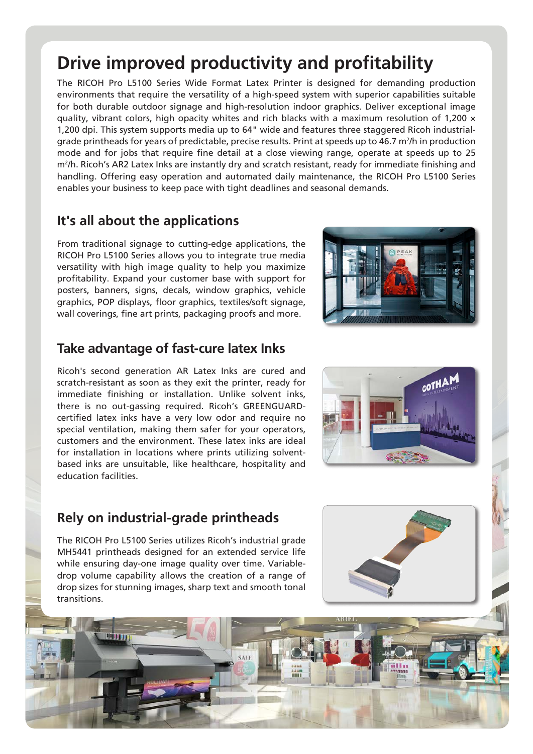## **Drive improved productivity and profitability**

The RICOH Pro L5100 Series Wide Format Latex Printer is designed for demanding production environments that require the versatility of a high-speed system with superior capabilities suitable for both durable outdoor signage and high-resolution indoor graphics. Deliver exceptional image quality, vibrant colors, high opacity whites and rich blacks with a maximum resolution of 1,200  $\times$ 1,200 dpi. This system supports media up to 64" wide and features three staggered Ricoh industrialgrade printheads for years of predictable, precise results. Print at speeds up to 46.7 m<sup>2</sup>/h in production mode and for jobs that require fine detail at a close viewing range, operate at speeds up to 25 m<sup>2</sup>/h. Ricoh's AR2 Latex Inks are instantly dry and scratch resistant, ready for immediate finishing and handling. Offering easy operation and automated daily maintenance, the RICOH Pro L5100 Series enables your business to keep pace with tight deadlines and seasonal demands.

#### **It's all about the applications**

From traditional signage to cutting-edge applications, the RICOH Pro L5100 Series allows you to integrate true media versatility with high image quality to help you maximize profitability. Expand your customer base with support for posters, banners, signs, decals, window graphics, vehicle graphics, POP displays, floor graphics, textiles/soft signage, wall coverings, fine art prints, packaging proofs and more.

#### **Take advantage of fast-cure latex Inks**

Ricoh's second generation AR Latex Inks are cured and scratch-resistant as soon as they exit the printer, ready for immediate finishing or installation. Unlike solvent inks, there is no out-gassing required. Ricoh's GREENGUARDcertified latex inks have a very low odor and require no special ventilation, making them safer for your operators, customers and the environment. These latex inks are ideal for installation in locations where prints utilizing solventbased inks are unsuitable, like healthcare, hospitality and education facilities.





#### **Rely on industrial-grade printheads**

449911

The RICOH Pro L5100 Series utilizes Ricoh's industrial grade MH5441 printheads designed for an extended service life while ensuring day-one image quality over time. Variabledrop volume capability allows the creation of a range of drop sizes for stunning images, sharp text and smooth tonal transitions.

SALE

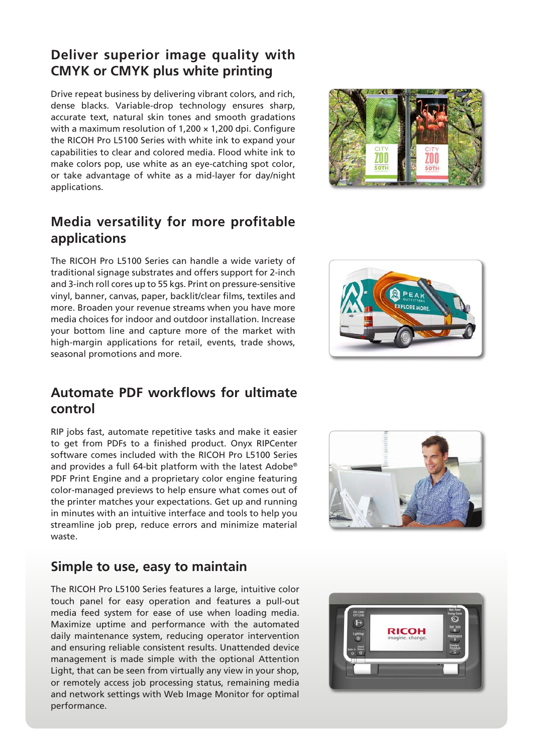#### **Deliver superior image quality with CMYK or CMYK plus white printing**

Drive repeat business by delivering vibrant colors, and rich, dense blacks. Variable-drop technology ensures sharp, accurate text, natural skin tones and smooth gradations with a maximum resolution of  $1,200 \times 1,200$  dpi. Configure the RICOH Pro L5100 Series with white ink to expand your capabilities to clear and colored media. Flood white ink to make colors pop, use white as an eye-catching spot color, or take advantage of white as a mid-layer for day/night applications.



### **Media versatility for more profitable applications**

The RICOH Pro L5100 Series can handle a wide variety of traditional signage substrates and offers support for 2-inch and 3-inch roll cores up to 55 kgs. Print on pressure-sensitive vinyl, banner, canvas, paper, backlit/clear films, textiles and more. Broaden your revenue streams when you have more media choices for indoor and outdoor installation. Increase your bottom line and capture more of the market with high-margin applications for retail, events, trade shows, seasonal promotions and more.

#### **Automate PDF workflows for ultimate control**

RIP jobs fast, automate repetitive tasks and make it easier to get from PDFs to a finished product. Onyx RIPCenter software comes included with the RICOH Pro L5100 Series and provides a full 64-bit platform with the latest Adobe® PDF Print Engine and a proprietary color engine featuring color-managed previews to help ensure what comes out of the printer matches your expectations. Get up and running in minutes with an intuitive interface and tools to help you streamline job prep, reduce errors and minimize material waste.

#### **Simple to use, easy to maintain**

The RICOH Pro L5100 Series features a large, intuitive color touch panel for easy operation and features a pull-out media feed system for ease of use when loading media. Maximize uptime and performance with the automated daily maintenance system, reducing operator intervention and ensuring reliable consistent results. Unattended device management is made simple with the optional Attention Light, that can be seen from virtually any view in your shop, or remotely access job processing status, remaining media and network settings with Web Image Monitor for optimal performance.